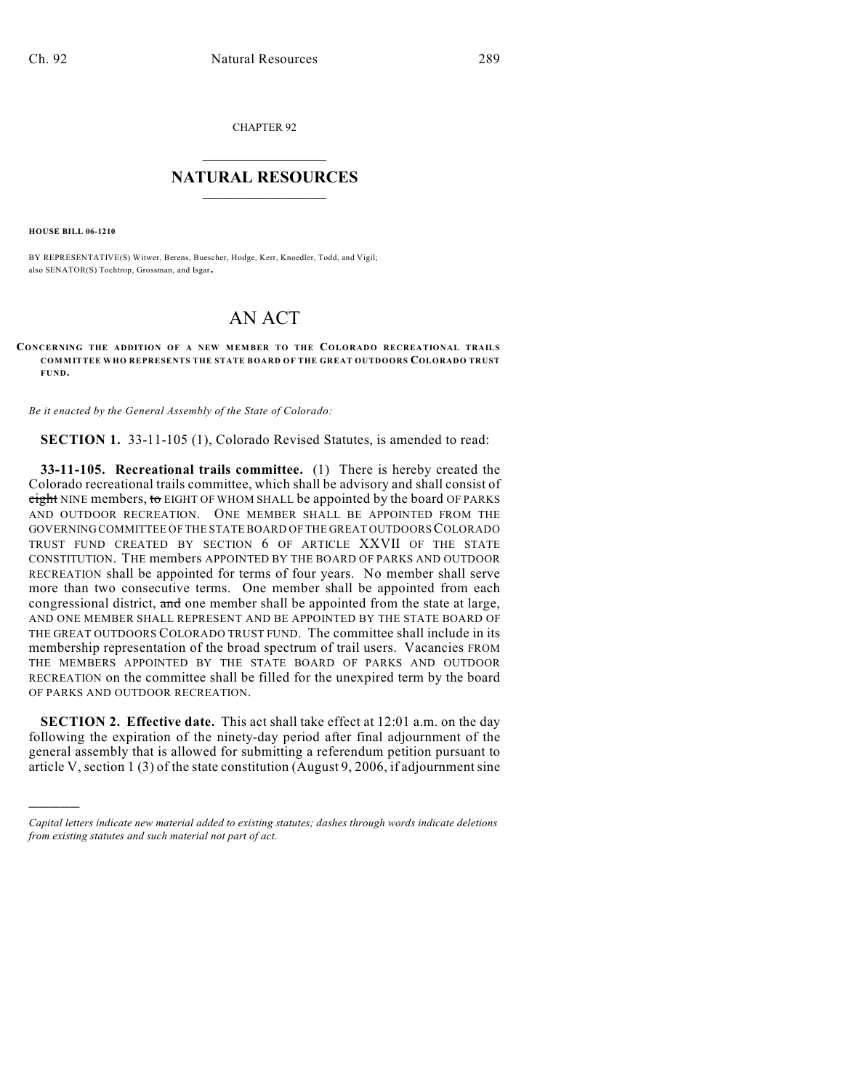CHAPTER 92

## $\overline{\phantom{a}}$  . The set of the set of the set of the set of the set of the set of the set of the set of the set of the set of the set of the set of the set of the set of the set of the set of the set of the set of the set o **NATURAL RESOURCES**  $\frac{1}{\sqrt{2}}$  , where  $\frac{1}{\sqrt{2}}$  ,  $\frac{1}{\sqrt{2}}$  ,  $\frac{1}{\sqrt{2}}$

**HOUSE BILL 06-1210**

)))))

BY REPRESENTATIVE(S) Witwer, Berens, Buescher, Hodge, Kerr, Knoedler, Todd, and Vigil; also SENATOR(S) Tochtrop, Grossman, and Isgar.

## AN ACT

## **CONCERNING THE ADDITION OF A NEW MEMBER TO THE COLORADO RECREATIONAL TRAILS COMMITTEE WHO REPRESENTS THE STATE BOARD OF THE GREAT OUTDOORS COLORADO TRUST FUND.**

*Be it enacted by the General Assembly of the State of Colorado:*

**SECTION 1.** 33-11-105 (1), Colorado Revised Statutes, is amended to read:

**33-11-105. Recreational trails committee.** (1) There is hereby created the Colorado recreational trails committee, which shall be advisory and shall consist of eight NINE members, to EIGHT OF WHOM SHALL be appointed by the board OF PARKS AND OUTDOOR RECREATION. ONE MEMBER SHALL BE APPOINTED FROM THE GOVERNING COMMITTEE OF THE STATE BOARD OF THE GREAT OUTDOORS COLORADO TRUST FUND CREATED BY SECTION 6 OF ARTICLE XXVII OF THE STATE CONSTITUTION. THE members APPOINTED BY THE BOARD OF PARKS AND OUTDOOR RECREATION shall be appointed for terms of four years. No member shall serve more than two consecutive terms. One member shall be appointed from each congressional district, and one member shall be appointed from the state at large, AND ONE MEMBER SHALL REPRESENT AND BE APPOINTED BY THE STATE BOARD OF THE GREAT OUTDOORS COLORADO TRUST FUND. The committee shall include in its membership representation of the broad spectrum of trail users. Vacancies FROM THE MEMBERS APPOINTED BY THE STATE BOARD OF PARKS AND OUTDOOR RECREATION on the committee shall be filled for the unexpired term by the board OF PARKS AND OUTDOOR RECREATION.

**SECTION 2. Effective date.** This act shall take effect at 12:01 a.m. on the day following the expiration of the ninety-day period after final adjournment of the general assembly that is allowed for submitting a referendum petition pursuant to article V, section 1 (3) of the state constitution (August 9, 2006, if adjournment sine

*Capital letters indicate new material added to existing statutes; dashes through words indicate deletions from existing statutes and such material not part of act.*